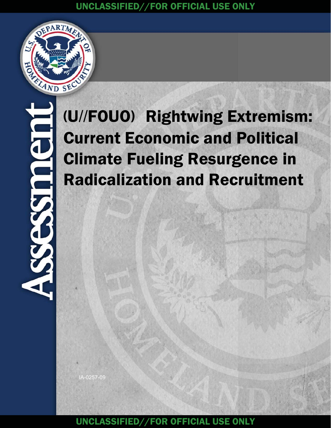

# (U//FOUO) Rightwing Extremism: Current Economic and Political Climate Fueling Resurgence in Radicalization and Recruitment

IA-0257-09

UNCLASSIFIED//FOR OFFICIAL USE ONLY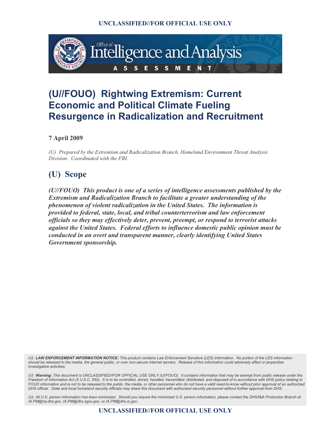

## **(U//FOUO) Rightwing Extremism: Current Economic and Political Climate Fueling Resurgence in Radicalization and Recruitment**

**7 April 2009** 

*(U) Prepared by the Extremism and Radicalization Branch, Homeland Environment Threat Analysis Division. Coordinated with the FBI.* 

## **(U) Scope**

*(U//FOUO) This product is one of a series of intelligence assessments published by the Extremism and Radicalization Branch to facilitate a greater understanding of the phenomenon of violent radicalization in the United States. The information is provided to federal, state, local, and tribal counterterrorism and law enforcement officials so they may effectively deter, prevent, preempt, or respond to terrorist attacks against the United States. Federal efforts to influence domestic public opinion must be conducted in an overt and transparent manner, clearly identifying United States Government sponsorship.*

(U) L**AW ENFORCEMENT INFORMATION NOTICE**: This product contains Law Enforcement Sensitive (LES) information. No portion of the LES information<br>should be released to the media, the general public, or over non-secure Interne *investigative activities.* 

(U) Warning: This document is UNCLASSIFIED//FOR OFFICIAL USE ONLY (U//FOUO). It contains information that may be exempt from public release under the<br>Freedom of Information Act (5 U.S.C. 552). It is to be controlled, store *FOUO information and is not to be released to the public, the media, or other personnel who do not have a valid need-to-know without prior approval of an authorized DHS official. State and local homeland security officials may share this document with authorized security personnel without further approval from DHS.* 

*(U) All U.S. person information has been minimized. Should you require the minimized U.S. person information, please contact the DHS/I&A Production Branch at IA.PM@hq.dhs.gov, IA.PM@dhs.sgov.gov, or IA.PM@dhs.ic.gov.*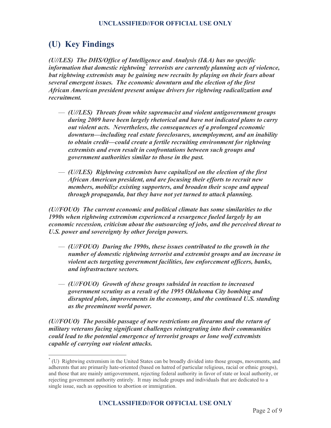## **(U) Key Findings**

*(U//LES) The DHS/Office of Intelligence and Analysis (I&A) has no specific*  information that domestic rightwing<sup>\*</sup> terrorists are currently planning acts of violence, *but rightwing extremists may be gaining new recruits by playing on their fears about several emergent issues. The economic downturn and the election of the first African American president present unique drivers for rightwing radicalization and recruitment.* 

- *(U//LES) Threats from white supremacist and violent antigovernment groups during 2009 have been largely rhetorical and have not indicated plans to carry out violent acts. Nevertheless, the consequences of a prolonged economic downturn—including real estate foreclosures, unemployment, and an inability to obtain credit—could create a fertile recruiting environment for rightwing extremists and even result in confrontations between such groups and government authorities similar to those in the past.*
- *(U//LES) Rightwing extremists have capitalized on the election of the first African American president, and are focusing their efforts to recruit new members, mobilize existing supporters, and broaden their scope and appeal through propaganda, but they have not yet turned to attack planning.*

*(U//FOUO) The current economic and political climate has some similarities to the 1990s when rightwing extremism experienced a resurgence fueled largely by an economic recession, criticism about the outsourcing of jobs, and the perceived threat to U.S. power and sovereignty by other foreign powers.* 

- *(U//FOUO) During the 1990s, these issues contributed to the growth in the number of domestic rightwing terrorist and extremist groups and an increase in violent acts targeting government facilities, law enforcement officers, banks, and infrastructure sectors.*
- *(U//FOUO) Growth of these groups subsided in reaction to increased government scrutiny as a result of the 1995 Oklahoma City bombing and disrupted plots, improvements in the economy, and the continued U.S. standing as the preeminent world power.*

*(U//FOUO) The possible passage of new restrictions on firearms and the return of military veterans facing significant challenges reintegrating into their communities could lead to the potential emergence of terrorist groups or lone wolf extremists capable of carrying out violent attacks.* 

<sup>\*</sup> (U) Rightwing extremism in the United States can be broadly divided into those groups, movements, and adherents that are primarily hate-oriented (based on hatred of particular religious, racial or ethnic groups), and those that are mainly antigovernment, rejecting federal authority in favor of state or local authority, or rejecting government authority entirely. It may include groups and individuals that are dedicated to a single issue, such as opposition to abortion or immigration.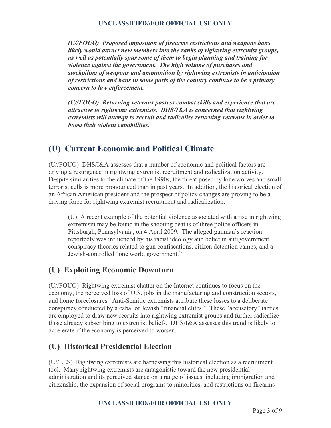- *(U//FOUO) Proposed imposition of firearms restrictions and weapons bans likely would attract new members into the ranks of rightwing extremist groups, as well as potentially spur some of them to begin planning and training for violence against the government. The high volume of purchases and stockpiling of weapons and ammunition by rightwing extremists in anticipation of restrictions and bans in some parts of the country continue to be a primary concern to law enforcement.*
- *(U//FOUO) Returning veterans possess combat skills and experience that are attractive to rightwing extremists. DHS/I&A is concerned that rightwing extremists will attempt to recruit and radicalize returning veterans in order to boost their violent capabilities.*

## **(U) Current Economic and Political Climate**

(U//FOUO) DHS/I&A assesses that a number of economic and political factors are driving a resurgence in rightwing extremist recruitment and radicalization activity. Despite similarities to the climate of the 1990s, the threat posed by lone wolves and small terrorist cells is more pronounced than in past years. In addition, the historical election of an African American president and the prospect of policy changes are proving to be a driving force for rightwing extremist recruitment and radicalization.

— (U) A recent example of the potential violence associated with a rise in rightwing extremism may be found in the shooting deaths of three police officers in Pittsburgh, Pennsylvania, on 4 April 2009. The alleged gunman's reaction reportedly was influenced by his racist ideology and belief in antigovernment conspiracy theories related to gun confiscations, citizen detention camps, and a Jewish-controlled "one world government."

## **(U) Exploiting Economic Downturn**

(U//FOUO) Rightwing extremist chatter on the Internet continues to focus on the economy, the perceived loss of U.S. jobs in the manufacturing and construction sectors, and home foreclosures. Anti-Semitic extremists attribute these losses to a deliberate conspiracy conducted by a cabal of Jewish "financial elites." These "accusatory" tactics are employed to draw new recruits into rightwing extremist groups and further radicalize those already subscribing to extremist beliefs. DHS/I&A assesses this trend is likely to accelerate if the economy is perceived to worsen.

## **(U) Historical Presidential Election**

(U//LES) Rightwing extremists are harnessing this historical election as a recruitment tool. Many rightwing extremists are antagonistic toward the new presidential administration and its perceived stance on a range of issues, including immigration and citizenship, the expansion of social programs to minorities, and restrictions on firearms

#### **UNCLASSIFIED//FOR OFFICIAL USE ONLY**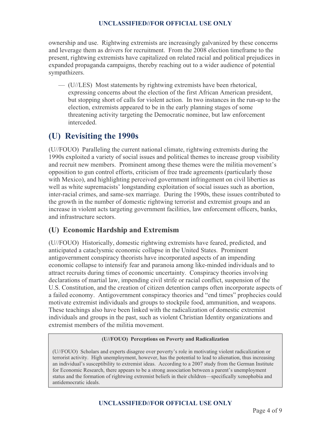ownership and use. Rightwing extremists are increasingly galvanized by these concerns and leverage them as drivers for recruitment. From the 2008 election timeframe to the present, rightwing extremists have capitalized on related racial and political prejudices in expanded propaganda campaigns, thereby reaching out to a wider audience of potential sympathizers.

— (U//LES) Most statements by rightwing extremists have been rhetorical, expressing concerns about the election of the first African American president, but stopping short of calls for violent action. In two instances in the run-up to the election, extremists appeared to be in the early planning stages of some threatening activity targeting the Democratic nominee, but law enforcement interceded.

## **(U) Revisiting the 1990s**

(U//FOUO) Paralleling the current national climate, rightwing extremists during the 1990s exploited a variety of social issues and political themes to increase group visibility and recruit new members. Prominent among these themes were the militia movement's opposition to gun control efforts, criticism of free trade agreements (particularly those with Mexico), and highlighting perceived government infringement on civil liberties as well as white supremacists' longstanding exploitation of social issues such as abortion, inter-racial crimes, and same-sex marriage. During the 1990s, these issues contributed to the growth in the number of domestic rightwing terrorist and extremist groups and an increase in violent acts targeting government facilities, law enforcement officers, banks, and infrastructure sectors.

## **(U) Economic Hardship and Extremism**

(U//FOUO) Historically, domestic rightwing extremists have feared, predicted, and anticipated a cataclysmic economic collapse in the United States. Prominent antigovernment conspiracy theorists have incorporated aspects of an impending economic collapse to intensify fear and paranoia among like-minded individuals and to attract recruits during times of economic uncertainty. Conspiracy theories involving declarations of martial law, impending civil strife or racial conflict, suspension of the U.S. Constitution, and the creation of citizen detention camps often incorporate aspects of a failed economy. Antigovernment conspiracy theories and "end times" prophecies could motivate extremist individuals and groups to stockpile food, ammunition, and weapons. These teachings also have been linked with the radicalization of domestic extremist individuals and groups in the past, such as violent Christian Identity organizations and extremist members of the militia movement.

#### **(U//FOUO) Perceptions on Poverty and Radicalization**

(U//FOUO) Scholars and experts disagree over poverty's role in motivating violent radicalization or terrorist activity. High unemployment, however, has the potential to lead to alienation, thus increasing an individual's susceptibility to extremist ideas. According to a 2007 study from the German Institute for Economic Research, there appears to be a strong association between a parent's unemployment status and the formation of rightwing extremist beliefs in their children—specifically xenophobia and antidemocratic ideals.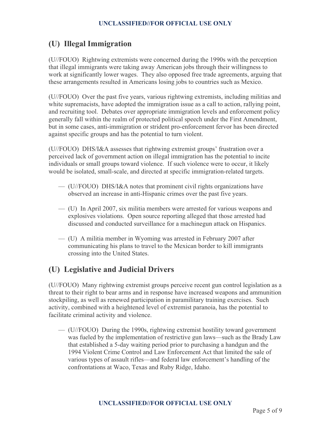## **(U) Illegal Immigration**

(U//FOUO) Rightwing extremists were concerned during the 1990s with the perception that illegal immigrants were taking away American jobs through their willingness to work at significantly lower wages. They also opposed free trade agreements, arguing that these arrangements resulted in Americans losing jobs to countries such as Mexico.

(U//FOUO) Over the past five years, various rightwing extremists, including militias and white supremacists, have adopted the immigration issue as a call to action, rallying point, and recruiting tool. Debates over appropriate immigration levels and enforcement policy generally fall within the realm of protected political speech under the First Amendment, but in some cases, anti-immigration or strident pro-enforcement fervor has been directed against specific groups and has the potential to turn violent.

(U//FOUO) DHS/I&A assesses that rightwing extremist groups' frustration over a perceived lack of government action on illegal immigration has the potential to incite individuals or small groups toward violence. If such violence were to occur, it likely would be isolated, small-scale, and directed at specific immigration-related targets.

- (U//FOUO) DHS/I&A notes that prominent civil rights organizations have observed an increase in anti-Hispanic crimes over the past five years.
- (U) In April 2007, six militia members were arrested for various weapons and explosives violations. Open source reporting alleged that those arrested had discussed and conducted surveillance for a machinegun attack on Hispanics.
- (U) A militia member in Wyoming was arrested in February 2007 after communicating his plans to travel to the Mexican border to kill immigrants crossing into the United States.

## **(U) Legislative and Judicial Drivers**

(U//FOUO) Many rightwing extremist groups perceive recent gun control legislation as a threat to their right to bear arms and in response have increased weapons and ammunition stockpiling, as well as renewed participation in paramilitary training exercises. Such activity, combined with a heightened level of extremist paranoia, has the potential to facilitate criminal activity and violence.

— (U//FOUO) During the 1990s, rightwing extremist hostility toward government was fueled by the implementation of restrictive gun laws—such as the Brady Law that established a 5-day waiting period prior to purchasing a handgun and the 1994 Violent Crime Control and Law Enforcement Act that limited the sale of various types of assault rifles—and federal law enforcement's handling of the confrontations at Waco, Texas and Ruby Ridge, Idaho.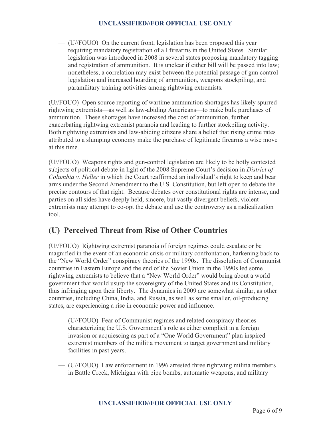— (U//FOUO) On the current front, legislation has been proposed this year requiring mandatory registration of all firearms in the United States. Similar legislation was introduced in 2008 in several states proposing mandatory tagging and registration of ammunition. It is unclear if either bill will be passed into law; nonetheless, a correlation may exist between the potential passage of gun control legislation and increased hoarding of ammunition, weapons stockpiling, and paramilitary training activities among rightwing extremists.

(U//FOUO) Open source reporting of wartime ammunition shortages has likely spurred rightwing extremists—as well as law-abiding Americans—to make bulk purchases of ammunition. These shortages have increased the cost of ammunition, further exacerbating rightwing extremist paranoia and leading to further stockpiling activity. Both rightwing extremists and law-abiding citizens share a belief that rising crime rates attributed to a slumping economy make the purchase of legitimate firearms a wise move at this time.

(U//FOUO) Weapons rights and gun-control legislation are likely to be hotly contested subjects of political debate in light of the 2008 Supreme Court's decision in *District of Columbia v. Heller* in which the Court reaffirmed an individual's right to keep and bear arms under the Second Amendment to the U.S. Constitution, but left open to debate the precise contours of that right. Because debates over constitutional rights are intense, and parties on all sides have deeply held, sincere, but vastly divergent beliefs, violent extremists may attempt to co-opt the debate and use the controversy as a radicalization tool.

## **(U) Perceived Threat from Rise of Other Countries**

(U//FOUO) Rightwing extremist paranoia of foreign regimes could escalate or be magnified in the event of an economic crisis or military confrontation, harkening back to the "New World Order" conspiracy theories of the 1990s. The dissolution of Communist countries in Eastern Europe and the end of the Soviet Union in the 1990s led some rightwing extremists to believe that a "New World Order" would bring about a world government that would usurp the sovereignty of the United States and its Constitution, thus infringing upon their liberty. The dynamics in 2009 are somewhat similar, as other countries, including China, India, and Russia, as well as some smaller, oil-producing states, are experiencing a rise in economic power and influence.

- (U//FOUO) Fear of Communist regimes and related conspiracy theories characterizing the U.S. Government's role as either complicit in a foreign invasion or acquiescing as part of a "One World Government" plan inspired extremist members of the militia movement to target government and military facilities in past years.
- (U//FOUO) Law enforcement in 1996 arrested three rightwing militia members in Battle Creek, Michigan with pipe bombs, automatic weapons, and military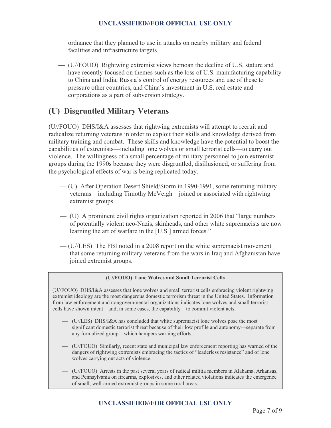ordnance that they planned to use in attacks on nearby military and federal facilities and infrastructure targets.

— (U//FOUO) Rightwing extremist views bemoan the decline of U.S. stature and have recently focused on themes such as the loss of U.S. manufacturing capability to China and India, Russia's control of energy resources and use of these to pressure other countries, and China's investment in U.S. real estate and corporations as a part of subversion strategy.

## **(U) Disgruntled Military Veterans**

(U//FOUO) DHS/I&A assesses that rightwing extremists will attempt to recruit and radicalize returning veterans in order to exploit their skills and knowledge derived from military training and combat. These skills and knowledge have the potential to boost the capabilities of extremists—including lone wolves or small terrorist cells—to carry out violence. The willingness of a small percentage of military personnel to join extremist groups during the 1990s because they were disgruntled, disillusioned, or suffering from the psychological effects of war is being replicated today.

- (U) After Operation Desert Shield/Storm in 1990-1991, some returning military veterans—including Timothy McVeigh—joined or associated with rightwing extremist groups.
- (U) A prominent civil rights organization reported in 2006 that "large numbers of potentially violent neo-Nazis, skinheads, and other white supremacists are now learning the art of warfare in the [U.S.] armed forces."
- (U//LES) The FBI noted in a 2008 report on the white supremacist movement that some returning military veterans from the wars in Iraq and Afghanistan have joined extremist groups.

#### **(U//FOUO) Lone Wolves and Small Terrorist Cells**

(U//FOUO) DHS/I&A assesses that lone wolves and small terrorist cells embracing violent rightwing extremist ideology are the most dangerous domestic terrorism threat in the United States. Information from law enforcement and nongovernmental organizations indicates lone wolves and small terrorist cells have shown intent—and, in some cases, the capability—to commit violent acts.

- (U//LES) DHS/I&A has concluded that white supremacist lone wolves pose the most significant domestic terrorist threat because of their low profile and autonomy—separate from any formalized group—which hampers warning efforts.
- (U//FOUO) Similarly, recent state and municipal law enforcement reporting has warned of the dangers of rightwing extremists embracing the tactics of "leaderless resistance" and of lone wolves carrying out acts of violence.
- (U//FOUO) Arrests in the past several years of radical militia members in Alabama, Arkansas, and Pennsylvania on firearms, explosives, and other related violations indicates the emergence of small, well-armed extremist groups in some rural areas.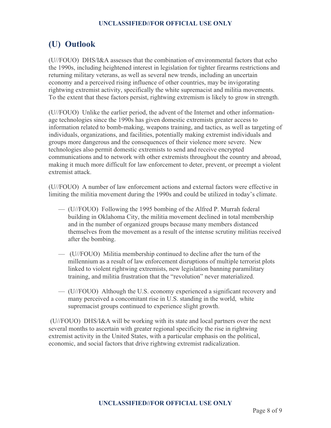## **(U) Outlook**

(U//FOUO) DHS/I&A assesses that the combination of environmental factors that echo the 1990s, including heightened interest in legislation for tighter firearms restrictions and returning military veterans, as well as several new trends, including an uncertain economy and a perceived rising influence of other countries, may be invigorating rightwing extremist activity, specifically the white supremacist and militia movements. To the extent that these factors persist, rightwing extremism is likely to grow in strength.

(U//FOUO) Unlike the earlier period, the advent of the Internet and other informationage technologies since the 1990s has given domestic extremists greater access to information related to bomb-making, weapons training, and tactics, as well as targeting of individuals, organizations, and facilities, potentially making extremist individuals and groups more dangerous and the consequences of their violence more severe. New technologies also permit domestic extremists to send and receive encrypted communications and to network with other extremists throughout the country and abroad, making it much more difficult for law enforcement to deter, prevent, or preempt a violent extremist attack.

(U//FOUO) A number of law enforcement actions and external factors were effective in limiting the militia movement during the 1990s and could be utilized in today's climate.

- (U//FOUO) Following the 1995 bombing of the Alfred P. Murrah federal building in Oklahoma City, the militia movement declined in total membership and in the number of organized groups because many members distanced themselves from the movement as a result of the intense scrutiny militias received after the bombing.
- (U//FOUO) Militia membership continued to decline after the turn of the millennium as a result of law enforcement disruptions of multiple terrorist plots linked to violent rightwing extremists, new legislation banning paramilitary training, and militia frustration that the "revolution" never materialized.
- (U//FOUO) Although the U.S. economy experienced a significant recovery and many perceived a concomitant rise in U.S. standing in the world, white supremacist groups continued to experience slight growth.

 (U//FOUO) DHS/I&A will be working with its state and local partners over the next several months to ascertain with greater regional specificity the rise in rightwing extremist activity in the United States, with a particular emphasis on the political, economic, and social factors that drive rightwing extremist radicalization.